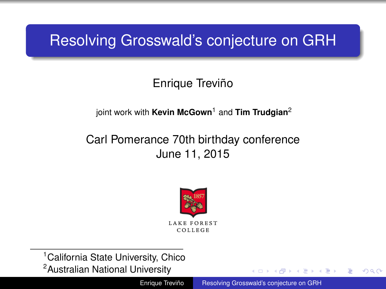# <span id="page-0-0"></span>Resolving Grosswald's conjecture on GRH

## Enrique Treviño

#### joint work with **Kevin McGown**<sup>1</sup> and **Tim Trudgian**<sup>2</sup>

### Carl Pomerance 70th birthday conference June 11, 2015



<sup>1</sup> California State University, Chico <sup>2</sup>Australian National University

Enrique Treviño [Resolving Grosswald's conjecture on GRH](#page-13-0)

ă.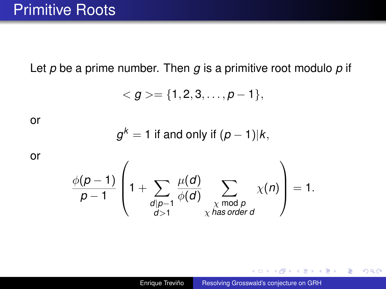Let *p* be a prime number. Then *g* is a primitive root modulo *p* if

$$
=\{1,2,3,\ldots,p-1\},
$$

or

$$
g^k = 1
$$
 if and only if  $(p-1)|k$ ,

or

$$
\frac{\phi(p-1)}{p-1}\left(1+\sum_{\substack{d\mid p-1\\d>1}}\frac{\mu(d)}{\phi(d)}\sum_{\substack{\chi \bmod p\\ \chi \text{ has order } d}}\chi(n)\right)=1.
$$

**K ロ ▶ K 何 ▶ K ヨ ▶ K ヨ ▶** 

重し  $299$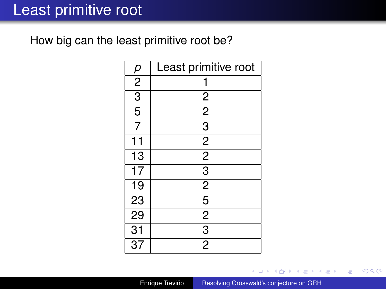## Least primitive root

How big can the least primitive root be?

| р               | Least primitive root    |
|-----------------|-------------------------|
| $\overline{2}$  | 1                       |
| $\overline{3}$  | $\overline{\mathbf{c}}$ |
| $\overline{5}$  | $\overline{2}$          |
| $\overline{7}$  | $\overline{3}$          |
| 11              | $\frac{2}{2}$           |
| $\overline{13}$ |                         |
| $\overline{17}$ | $\overline{3}$          |
| 19              | $\overline{2}$          |
| 23              | $\overline{5}$          |
| 29              | $\overline{2}$          |
| $\overline{31}$ | $\overline{3}$          |
| $\overline{37}$ | $\overline{2}$          |

Enrique Treviño [Resolving Grosswald's conjecture on GRH](#page-0-0)

4 0 8

メ都 ドメ 君 ドメ 君 ドッ

重。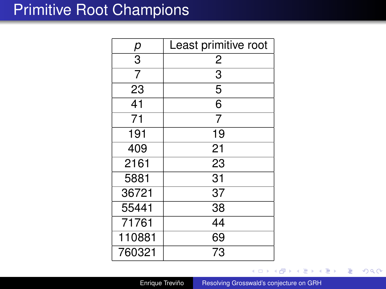## Primitive Root Champions

|                 | Least primitive root |
|-----------------|----------------------|
| $\frac{p}{3}$   | $\overline{c}$       |
| $\overline{7}$  | $\overline{3}$       |
| 23              | 5                    |
| 41              | 6                    |
| $\overline{71}$ | $\overline{7}$       |
| 191             | 19                   |
| 409             | 21                   |
| 2161            | 23                   |
| 5881            | 31                   |
| 36721           | 37                   |
| 55441           | 38                   |
| 71761           | 44                   |
| 110881          | 69                   |
| 760321          | 73                   |

Enrique Treviño [Resolving Grosswald's conjecture on GRH](#page-0-0)

€ □ 下

す 御 メ オ 君 メ オ 君 メー

重。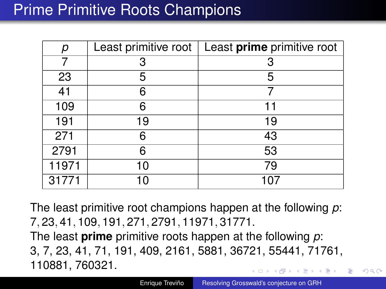# Prime Primitive Roots Champions

| р     | Least primitive root | Least prime primitive root |
|-------|----------------------|----------------------------|
|       | 3                    |                            |
| 23    | 5                    | 5                          |
| 41    | 6                    |                            |
| 109   | 6                    | 11                         |
| 191   | 19                   | 19                         |
| 271   | 6                    | 43                         |
| 2791  | 6                    | 53                         |
| 11971 | 10                   | 79                         |
| 31771 |                      |                            |

The least primitive root champions happen at the following *p*: 7, 23, 41, 109, 191, 271, 2791, 11971, 31771. The least **prime** primitive roots happen at the following *p*: 3, 7, 23, 41, 71, 191, 409, 2161, 5881, 36721, 55441, 71761, 110881, 760321.

 $\Omega$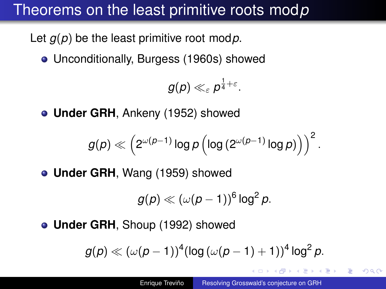# Theorems on the least primitive roots mod*p*

Let *g*(*p*) be the least primitive root mod*p*.

Unconditionally, Burgess (1960s) showed

$$
g(\rho) \ll_{\varepsilon} \rho^{\frac{1}{4}+\varepsilon}.
$$

**Under GRH**, Ankeny (1952) showed

$$
g(\rho) \ll \left(2^{\omega(\rho-1)}\log\rho\left(\log\left(2^{\omega(\rho-1)}\log\rho\right)\right)\right)^2.
$$

**Under GRH**, Wang (1959) showed

$$
g(p) \ll (\omega(p-1))^6 \log^2 p.
$$

**Under GRH**, Shoup (1992) showed

$$
g(\rho) \ll (\omega(\rho-1))^4 (\log{(\omega(\rho-1)+1)})^4 \log^2{\rho}.
$$

ぼう メモト

 $QQ$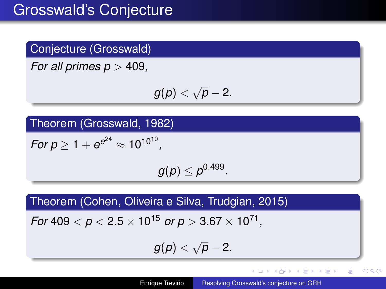## Conjecture (Grosswald)

*For all primes p* > 409*,*

$$
g(p)<\sqrt{p}-2.
$$

Theorem (Grosswald, 1982)

 $For p \ge 1 + e^{e^{24}} \approx 10^{10^{10}},$ 

 $g(\rho)\leq \rho^{0.499}.$ 

Theorem (Cohen, Oliveira e Silva, Trudgian, 2015)

 $\,$  *For* 409  $<$   $p$   $<$  2.5  $\times$  10<sup>15</sup>  $\,$  *or p*  $>$  3.67  $\times$  10<sup>71</sup> ,

$$
g(p) < \sqrt{p} - 2.
$$

イロト イ押 トイヨ トイヨト

重  $2Q$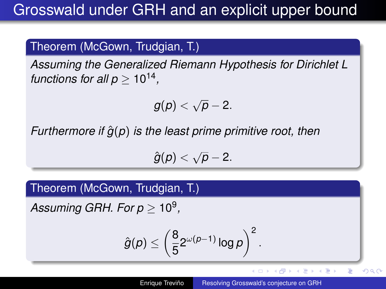#### Theorem (McGown, Trudgian, T.)

*Assuming the Generalized Riemann Hypothesis for Dirichlet L functions for all p*  $\geq 10^{14}$ *,* 

$$
g(p)<\sqrt{p}-2.
$$

*Furthermore if*  $\hat{g}(p)$  *is the least prime primitive root, then* 

$$
\hat{g}(p) < \sqrt{p} - 2.
$$

Theorem (McGown, Trudgian, T.)

 $\it{Assuming GRH}.$  For  $p \geq 10^9,$ 

$$
\hat{g}(\rho) \le \left(\frac{8}{5}2^{\omega(\rho-1)}\log\rho\right)^2.
$$

4 ロ ) (何 ) (日 ) (日 )

E

 $290$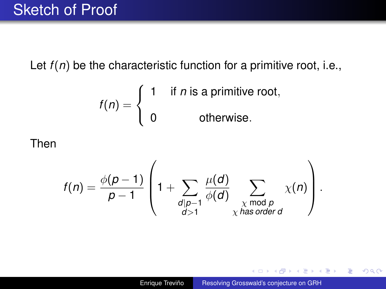## Sketch of Proof

Let  $f(n)$  be the characteristic function for a primitive root, i.e.,

$$
f(n) = \begin{cases} 1 & \text{if } n \text{ is a primitive root,} \\ 0 & \text{otherwise.} \end{cases}
$$

#### Then

$$
f(n) = \frac{\phi(p-1)}{p-1} \left(1 + \sum_{\substack{d \mid p-1 \\ d>1}} \frac{\mu(d)}{\phi(d)} \sum_{\substack{\chi \bmod p \\ \chi \text{ has order } d}} \chi(n)\right).
$$

イロト イ団ト イヨト イヨト

重。  $299$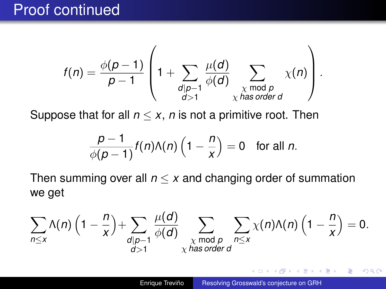## Proof continued

$$
f(n) = \frac{\phi(p-1)}{p-1} \left(1 + \sum_{\substack{d \mid p-1 \\ d>1}} \frac{\mu(d)}{\phi(d)} \sum_{\substack{\chi \bmod p \\ \chi \text{ has order } d}} \chi(n)\right).
$$

Suppose that for all  $n \leq x$ , *n* is not a primitive root. Then

$$
\frac{p-1}{\phi(p-1)}f(n)\Lambda(n)\left(1-\frac{n}{x}\right)=0 \text{ for all } n.
$$

Then summing over all  $n \leq x$  and changing order of summation we get

$$
\sum_{n\leq x}\Lambda(n)\left(1-\frac{n}{x}\right)+\sum_{\substack{d\mid p-1\\ d>1}}\frac{\mu(d)}{\phi(d)}\sum_{\substack{\chi \bmod p\\ \chi \text{ has order } d}}\sum_{n\leq x}\chi(n)\Lambda(n)\left(1-\frac{n}{x}\right)=0.
$$

K 何 ▶ K ヨ ▶ K ヨ ▶ ...

÷.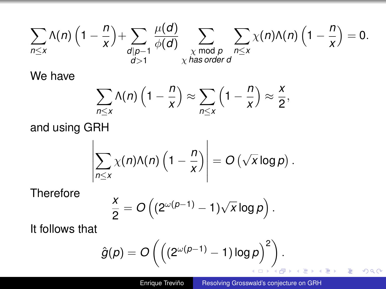$$
\sum_{n\leq x}\Lambda(n)\left(1-\frac{n}{x}\right)+\sum_{\substack{d\mid p-1\\d>1}}\frac{\mu(d)}{\phi(d)}\sum_{\substack{\chi \bmod p\\ \chi \text{ has order } d}}\sum_{n\leq x}\chi(n)\Lambda(n)\left(1-\frac{n}{x}\right)=0.
$$

We have

$$
\sum_{n\leq x}\Lambda(n)\left(1-\frac{n}{x}\right)\approx\sum_{n\leq x}\left(1-\frac{n}{x}\right)\approx\frac{x}{2},
$$

and using GRH

$$
\left|\sum_{n\leq x}\chi(n)\Lambda(n)\left(1-\frac{n}{x}\right)\right|=O\left(\sqrt{x}\log p\right).
$$

**Therefore** 

$$
\frac{x}{2}=O\left((2^{\omega(\rho-1)}-1)\sqrt{x}\log\rho\right).
$$

It follows that

$$
\hat{g}(p) = O\left(\left((2^{\omega(p-1)} - 1)\log p\right)^2\right).
$$

 $\mathbb{R}^+$ 

 $299$ 

重き す重き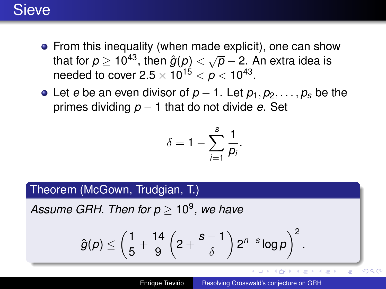## **Sieve**

- From this inequality (when made explicit), one can show that for  $p \ge 10^{43}$ , then  $\hat{g}(p) < \sqrt{p} - 2$ . An extra idea is needed to cover 2.5  $\times$  10<sup>15</sup>  $<\rho$   $<$  10<sup>43</sup>.
- Let *e* be an even divisor of  $p-1$ . Let  $p_1, p_2, \ldots, p_s$  be the primes dividing *p* − 1 that do not divide *e*. Set

$$
\delta=1-\sum_{i=1}^s\frac{1}{p_i}.
$$

#### Theorem (McGown, Trudgian, T.)

*Assume GRH. Then for p* ≥ 10<sup>9</sup> *, we have*

$$
\hat{g}(\rho) \leq \left(\frac{1}{5} + \frac{14}{9}\left(2 + \frac{s-1}{\delta}\right)2^{n-s}\log\rho\right)^2.
$$

4 ロ ) (何 ) (日 ) (日 )

ă

 $290$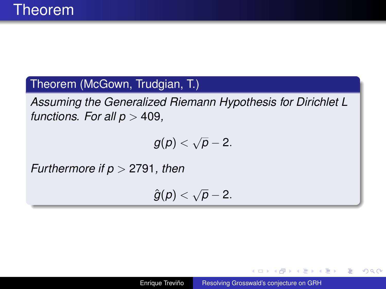#### Theorem (McGown, Trudgian, T.)

*Assuming the Generalized Riemann Hypothesis for Dirichlet L functions. For all*  $p > 409$ *,* 

$$
g(p)<\sqrt{p}-2.
$$

*Furthermore if p* > 2791*, then*

$$
\hat{g}(p) < \sqrt{p} - 2.
$$

イロト イ押 トイヨ トイヨト

÷.